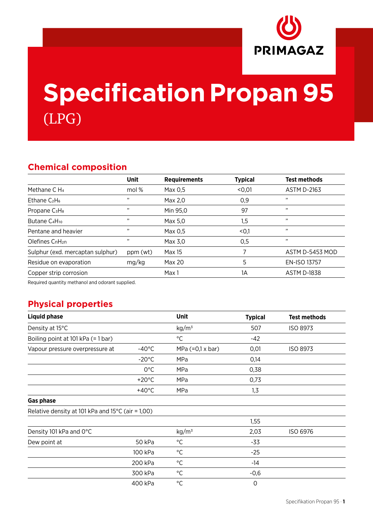

# **Specification Propan 95** (LPG)

### **Chemical composition**

|                                       | <b>Unit</b> | <b>Requirements</b> | <b>Typical</b> | <b>Test methods</b> |
|---------------------------------------|-------------|---------------------|----------------|---------------------|
| Methane $CH4$                         | mol %       | Max 0,5             | < 0, 01        | <b>ASTM D-2163</b>  |
| Ethane $C_2H_6$                       | ,,          | Max 2,0             | 0,9            | ,,                  |
| Propane C <sub>3</sub> H <sub>8</sub> | ,,          | Min 95,0            | 97             | ,,                  |
| Butane C <sub>4</sub> H <sub>10</sub> | , 1         | Max 5.0             | 1,5            | , ,                 |
| Pentane and heavier                   | ,,          | Max 0,5             | $0,1$          | ,,                  |
| Olefines CnH <sub>2n</sub>            | ,,          | Max 3,0             | 0,5            | , ,                 |
| Sulphur (exd. mercaptan sulphur)      | ppm (wt)    | Max 15              |                | ASTM D-5453 MOD     |
| Residue on evaporation                | mg/kg       | Max 20              | 5              | <b>EN-ISO 13757</b> |
| Copper strip corrosion                |             | Max 1               | 1A             | <b>ASTM D-1838</b>  |
|                                       |             |                     |                |                     |

Required quantity methanol and odorant supplied.

### **Physical properties**

| <b>Liquid phase</b>                               |                 | Unit                    | <b>Typical</b> | <b>Test methods</b> |
|---------------------------------------------------|-----------------|-------------------------|----------------|---------------------|
| Density at 15°C                                   |                 | kg/m <sup>3</sup>       | 507            | <b>ISO 8973</b>     |
| Boiling point at 101 kPa (= 1 bar)                |                 | $^{\circ}$ C            | $-42$          |                     |
| Vapour pressure overpressure at                   | $-40^{\circ}$ C | MPa $(=0,1 \times bar)$ | 0,01           | ISO 8973            |
|                                                   | $-20^{\circ}$ C | MPa                     | 0,14           |                     |
|                                                   | $0^{\circ}$ C   | MPa                     | 0,38           |                     |
|                                                   | $+20^{\circ}$ C | MPa                     | 0,73           |                     |
|                                                   | $+40^{\circ}$ C | MPa                     | 1, 3           |                     |
| <b>Gas phase</b>                                  |                 |                         |                |                     |
| Relative density at 101 kPa and 15°C (air = 1,00) |                 |                         |                |                     |
|                                                   |                 |                         | 1,55           |                     |
| Density 101 kPa and 0°C                           |                 | kg/m <sup>3</sup>       | 2,03           | ISO 6976            |
| Dew point at                                      | 50 kPa          | $^{\circ}C$             | $-33$          |                     |
|                                                   | 100 kPa         | $^{\circ}{\rm C}$       | $-25$          |                     |
|                                                   | 200 kPa         | $^{\circ}$ C            | $-14$          |                     |
|                                                   | 300 kPa         | $^{\circ}C$             | $-0,6$         |                     |
|                                                   | 400 kPa         | $^{\circ}$ C            | $\Omega$       |                     |